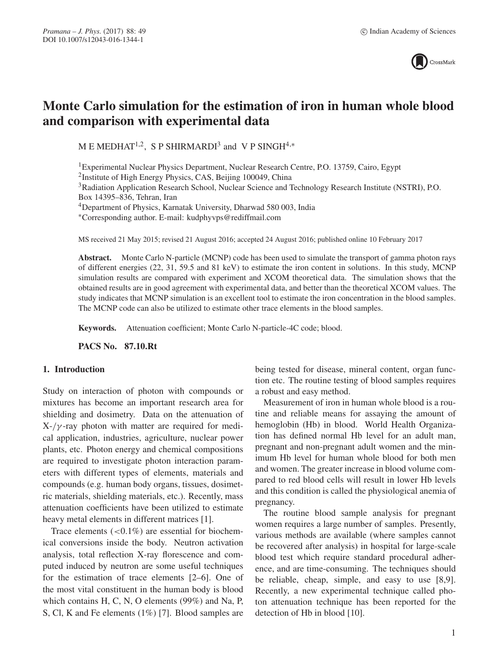

# **Monte Carlo simulation for the estimation of iron in human whole blood and comparison with experimental data**

M E MEDHAT<sup>1,2</sup>, S P SHIRMARDI<sup>3</sup> and V P SINGH<sup>4,\*</sup>

1Experimental Nuclear Physics Department, Nuclear Research Centre, P.O. 13759, Cairo, Egypt 2Institute of High Energy Physics, CAS, Beijing 100049, China 3Radiation Application Research School, Nuclear Science and Technology Research Institute (NSTRI), P.O. Box 14395–836, Tehran, Iran 4Department of Physics, Karnatak University, Dharwad 580 003, India ∗Corresponding author. E-mail: kudphyvps@rediffmail.com

MS received 21 May 2015; revised 21 August 2016; accepted 24 August 2016; published online 10 February 2017

**Abstract.** Monte Carlo N-particle (MCNP) code has been used to simulate the transport of gamma photon rays of different energies (22, 31, 59.5 and 81 keV) to estimate the iron content in solutions. In this study, MCNP simulation results are compared with experiment and XCOM theoretical data. The simulation shows that the obtained results are in good agreement with experimental data, and better than the theoretical XCOM values. The study indicates that MCNP simulation is an excellent tool to estimate the iron concentration in the blood samples. The MCNP code can also be utilized to estimate other trace elements in the blood samples.

**Keywords.** Attenuation coefficient; Monte Carlo N-particle-4C code; blood.

**PACS No. 87.10.Rt**

#### **1. Introduction**

Study on interaction of photon with compounds or mixtures has become an important research area for shielding and dosimetry. Data on the attenuation of  $X-\gamma$ -ray photon with matter are required for medical application, industries, agriculture, nuclear power plants, etc. Photon energy and chemical compositions are required to investigate photon interaction parameters with different types of elements, materials and compounds (e.g. human body organs, tissues, dosimetric materials, shielding materials, etc.). Recently, mass attenuation coefficients have been utilized to estimate heavy metal elements in different matrices [1].

Trace elements  $\left($  < 0.1%) are essential for biochemical conversions inside the body. Neutron activation analysis, total reflection X-ray florescence and computed induced by neutron are some useful techniques for the estimation of trace elements [2–6]. One of the most vital constituent in the human body is blood which contains H, C, N, O elements (99%) and Na, P, S, Cl, K and Fe elements (1%) [7]. Blood samples are being tested for disease, mineral content, organ function etc. The routine testing of blood samples requires a robust and easy method.

Measurement of iron in human whole blood is a routine and reliable means for assaying the amount of hemoglobin (Hb) in blood. World Health Organization has defined normal Hb level for an adult man, pregnant and non-pregnant adult women and the minimum Hb level for human whole blood for both men and women. The greater increase in blood volume compared to red blood cells will result in lower Hb levels and this condition is called the physiological anemia of pregnancy.

The routine blood sample analysis for pregnant women requires a large number of samples. Presently, various methods are available (where samples cannot be recovered after analysis) in hospital for large-scale blood test which require standard procedural adherence, and are time-consuming. The techniques should be reliable, cheap, simple, and easy to use [8,9]. Recently, a new experimental technique called photon attenuation technique has been reported for the detection of Hb in blood [10].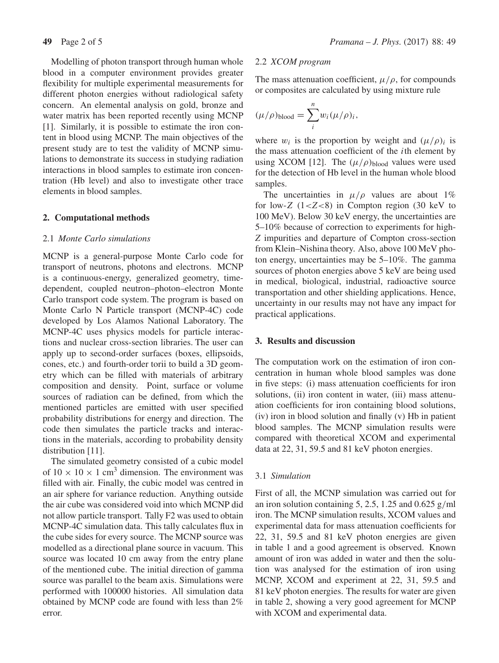Modelling of photon transport through human whole blood in a computer environment provides greater flexibility for multiple experimental measurements for different photon energies without radiological safety concern. An elemental analysis on gold, bronze and water matrix has been reported recently using MCNP [1]. Similarly, it is possible to estimate the iron content in blood using MCNP. The main objectives of the present study are to test the validity of MCNP simulations to demonstrate its success in studying radiation interactions in blood samples to estimate iron concentration (Hb level) and also to investigate other trace elements in blood samples.

## **2. Computational methods**

# 2.1 *Monte Carlo simulations*

MCNP is a general-purpose Monte Carlo code for transport of neutrons, photons and electrons. MCNP is a continuous-energy, generalized geometry, timedependent, coupled neutron–photon–electron Monte Carlo transport code system. The program is based on Monte Carlo N Particle transport (MCNP-4C) code developed by Los Alamos National Laboratory. The MCNP-4C uses physics models for particle interactions and nuclear cross-section libraries. The user can apply up to second-order surfaces (boxes, ellipsoids, cones, etc.) and fourth-order torii to build a 3D geometry which can be filled with materials of arbitrary composition and density. Point, surface or volume sources of radiation can be defined, from which the mentioned particles are emitted with user specified probability distributions for energy and direction. The code then simulates the particle tracks and interactions in the materials, according to probability density distribution [11].

The simulated geometry consisted of a cubic model of  $10 \times 10 \times 1$  cm<sup>3</sup> dimension. The environment was filled with air. Finally, the cubic model was centred in an air sphere for variance reduction. Anything outside the air cube was considered void into which MCNP did not allow particle transport. Tally F2 was used to obtain MCNP-4C simulation data. This tally calculates flux in the cube sides for every source. The MCNP source was modelled as a directional plane source in vacuum. This source was located 10 cm away from the entry plane of the mentioned cube. The initial direction of gamma source was parallel to the beam axis. Simulations were performed with 100000 histories. All simulation data obtained by MCNP code are found with less than 2% error.

## 2.2 *XCOM program*

The mass attenuation coefficient,  $\mu/\rho$ , for compounds or composites are calculated by using mixture rule

$$
(\mu/\rho)_{\text{blood}} = \sum_{i}^{n} w_i (\mu/\rho)_i,
$$

where  $w_i$  is the proportion by weight and  $(\mu/\rho)_i$  is the mass attenuation coefficient of the ith element by using XCOM [12]. The  $(\mu/\rho)_{\text{blood}}$  values were used for the detection of Hb level in the human whole blood samples.

The uncertainties in  $\mu/\rho$  values are about 1% for low-Z  $(1 < Z < 8)$  in Compton region (30 keV to 100 MeV). Below 30 keV energy, the uncertainties are 5–10% because of correction to experiments for high-*Z* impurities and departure of Compton cross-section from Klein–Nishina theory. Also, above 100 MeV photon energy, uncertainties may be 5–10%. The gamma sources of photon energies above 5 keV are being used in medical, biological, industrial, radioactive source transportation and other shielding applications. Hence, uncertainty in our results may not have any impact for practical applications.

## **3. Results and discussion**

The computation work on the estimation of iron concentration in human whole blood samples was done in five steps: (i) mass attenuation coefficients for iron solutions, (ii) iron content in water, (iii) mass attenuation coefficients for iron containing blood solutions, (iv) iron in blood solution and finally (v) Hb in patient blood samples. The MCNP simulation results were compared with theoretical XCOM and experimental data at 22, 31, 59.5 and 81 keV photon energies.

## 3.1 *Simulation*

First of all, the MCNP simulation was carried out for an iron solution containing 5, 2.5, 1.25 and 0.625  $g/ml$ iron. The MCNP simulation results, XCOM values and experimental data for mass attenuation coefficients for 22, 31, 59.5 and 81 keV photon energies are given in table 1 and a good agreement is observed. Known amount of iron was added in water and then the solution was analysed for the estimation of iron using MCNP, XCOM and experiment at 22, 31, 59.5 and 81 keV photon energies. The results for water are given in table 2, showing a very good agreement for MCNP with XCOM and experimental data.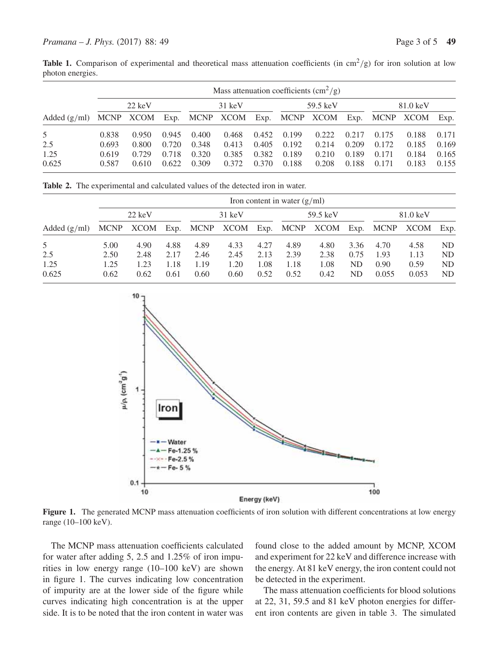**Table 1.** Comparison of experimental and theoretical mass attenuation coefficients (in  $\text{cm}^2/\text{g}$ ) for iron solution at low photon energies.

|                | Mass attenuation coefficients $\left(\text{cm}^2/\text{g}\right)$ |           |       |                  |           |       |          |                |       |          |           |       |
|----------------|-------------------------------------------------------------------|-----------|-------|------------------|-----------|-------|----------|----------------|-------|----------|-----------|-------|
|                | $22 \text{ keV}$                                                  |           |       | $31 \text{ keV}$ |           |       | 59.5 keV |                |       | 81.0 keV |           |       |
| Added $(g/ml)$ |                                                                   | MCNP XCOM | Exp.  |                  | MCNP XCOM |       |          | Exp. MCNP XCOM | Exp.  |          | MCNP XCOM | Exp.  |
| 5              | 0.838                                                             | 0.950     | 0.945 | 0.400            | 0.468     | 0.452 | 0.199    | 0.222          | 0.217 | 0.175    | 0.188     | 0.171 |
| 2.5            | 0.693                                                             | 0.800     | 0.720 | 0.348            | 0.413     | 0.405 | 0.192    | 0.214          | 0.209 | 0.172    | 0.185     | 0.169 |
| 1.25           | 0.619                                                             | 0.729     | 0.718 | 0.320            | 0.385     | 0.382 | 0.189    | 0.210          | 0.189 | 0.171    | 0.184     | 0.165 |
| 0.625          | 0.587                                                             | 0.610     | 0.622 | 0.309            | 0.372     | 0.370 | 0.188    | 0.208          | 0.188 | 0.171    | 0.183     | 0.155 |

**Table 2.** The experimental and calculated values of the detected iron in water.

|                | Iron content in water $(g/ml)$ |                  |      |      |                                              |      |      |                    |      |       |          |                |
|----------------|--------------------------------|------------------|------|------|----------------------------------------------|------|------|--------------------|------|-------|----------|----------------|
|                |                                | $22 \text{ keV}$ |      |      | $31 \text{ keV}$                             |      |      | $59.5 \text{ keV}$ |      |       | 81.0 keV |                |
| Added $(g/ml)$ | <b>MCNP</b>                    |                  |      |      | XCOM Exp. MCNP XCOM Exp. MCNP XCOM Exp. MCNP |      |      |                    |      |       | XCOM     | Exp.           |
| 5              | 5.00                           | 4.90             | 4.88 | 4.89 | 4.33                                         | 4.27 | 4.89 | 4.80               | 3.36 | 4.70  | 4.58     | N <sub>D</sub> |
| 2.5            | 2.50                           | 2.48             | 2.17 | 2.46 | 2.45                                         | 2.13 | 2.39 | 2.38               | 0.75 | 1.93  | 1.13     | N <sub>D</sub> |
| 1.25           | 1.25                           | 1.23             | 1.18 | 1.19 | 1.20                                         | 1.08 | 1.18 | 1.08               | ND   | 0.90  | 0.59     | N <sub>D</sub> |
| 0.625          | 0.62                           | 0.62             | 0.61 | 0.60 | 0.60                                         | 0.52 | 0.52 | 0.42               | ND   | 0.055 | 0.053    | ND             |



Figure 1. The generated MCNP mass attenuation coefficients of iron solution with different concentrations at low energy range (10–100 keV).

The MCNP mass attenuation coefficients calculated for water after adding 5, 2.5 and 1.25% of iron impurities in low energy range (10–100 keV) are shown in figure 1. The curves indicating low concentration of impurity are at the lower side of the figure while curves indicating high concentration is at the upper side. It is to be noted that the iron content in water was found close to the added amount by MCNP, XCOM and experiment for 22 keV and difference increase with the energy. At 81 keV energy, the iron content could not be detected in the experiment.

The mass attenuation coefficients for blood solutions at 22, 31, 59.5 and 81 keV photon energies for different iron contents are given in table 3. The simulated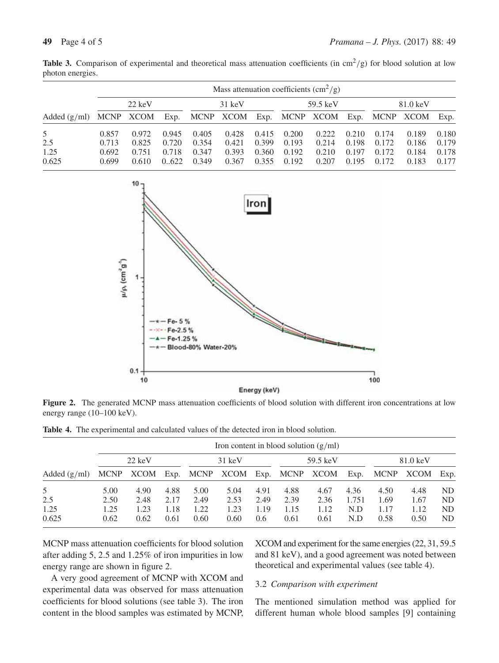| Added $(g/ml)$ | Mass attenuation coefficients $\left(\text{cm}^2/\text{g}\right)$ |           |       |       |                                              |       |       |          |       |       |          |       |  |
|----------------|-------------------------------------------------------------------|-----------|-------|-------|----------------------------------------------|-------|-------|----------|-------|-------|----------|-------|--|
|                | $22 \text{ keV}$                                                  |           |       |       | $31 \text{ keV}$                             |       |       | 59.5 keV |       |       | 81.0 keV |       |  |
|                |                                                                   | MCNP XCOM |       |       | Exp. MCNP XCOM Exp. MCNP XCOM Exp. MCNP XCOM |       |       |          |       |       |          | Exp.  |  |
| 5              | 0.857                                                             | 0.972     | 0.945 | 0.405 | 0.428                                        | 0.415 | 0.200 | 0.222    | 0.210 | 0.174 | 0.189    | 0.180 |  |
| 2.5            | 0.713                                                             | 0.825     | 0.720 | 0.354 | 0.421                                        | 0.399 | 0.193 | 0.214    | 0.198 | 0.172 | 0.186    | 0.179 |  |
| 1.25           | 0.692                                                             | 0.751     | 0.718 | 0.347 | 0.393                                        | 0.360 | 0.192 | 0.210    | 0.197 | 0.172 | 0.184    | 0.178 |  |
| 0.625          | 0.699                                                             | 0.610     | 0.622 | 0.349 | 0.367                                        | 0.355 | 0.192 | 0.207    | 0.195 | 0.172 | 0.183    | 0.177 |  |

**Table 3.** Comparison of experimental and theoretical mass attenuation coefficients (in  $\text{cm}^2/\text{g}$ ) for blood solution at low photon energies.



**Figure 2.** The generated MCNP mass attenuation coefficients of blood solution with different iron concentrations at low energy range (10–100 keV).

|  | <b>Table 4.</b> The experimental and calculated values of the detected iron in blood solution. |  |  |  |  |  |
|--|------------------------------------------------------------------------------------------------|--|--|--|--|--|
|--|------------------------------------------------------------------------------------------------|--|--|--|--|--|

| Added $(g/ml)$ |                  | Iron content in blood solution $(g/ml)$ |      |                  |                          |      |                |      |       |          |      |           |
|----------------|------------------|-----------------------------------------|------|------------------|--------------------------|------|----------------|------|-------|----------|------|-----------|
|                | $22 \text{ keV}$ |                                         |      | $31 \text{ keV}$ |                          |      | 59.5 keV       |      |       | 81.0 keV |      |           |
|                |                  |                                         |      |                  | MCNP XCOM Exp. MCNP XCOM |      | Exp. MCNP XCOM |      | Exp.  | MCNP     | XCOM | Exp.      |
| 5              | 5.00             | 4.90                                    | 4.88 | 5.00             | 5.04                     | 4.91 | 4.88           | 4.67 | 4.36  | 4.50     | 4.48 | ND.       |
| 2.5            | 2.50             | 2.48                                    | 2.17 | 2.49             | 2.53                     | 2.49 | 2.39           | 2.36 | 1.751 | 1.69     | 1.67 | <b>ND</b> |
| 1.25           | 1.25             | 1.23                                    | 1.18 | 1.22             | 1.23                     | 1.19 | 1.15           | 1.12 | N.D   | 1.17     | 1.12 | <b>ND</b> |
| 0.625          | 0.62             | 0.62                                    | 0.61 | 0.60             | 0.60                     | 0.6  | 0.61           | 0.61 | N.D   | 0.58     | 0.50 | ND        |

MCNP mass attenuation coefficients for blood solution after adding 5, 2.5 and 1.25% of iron impurities in low energy range are shown in figure 2.

XCOM and experiment for the same energies (22, 31, 59.5 and 81 keV), and a good agreement was noted between theoretical and experimental values (see table 4).

A very good agreement of MCNP with XCOM and experimental data was observed for mass attenuation coefficients for blood solutions (see table 3). The iron content in the blood samples was estimated by MCNP,

## 3.2 *Comparison with experiment*

The mentioned simulation method was applied for different human whole blood samples [9] containing